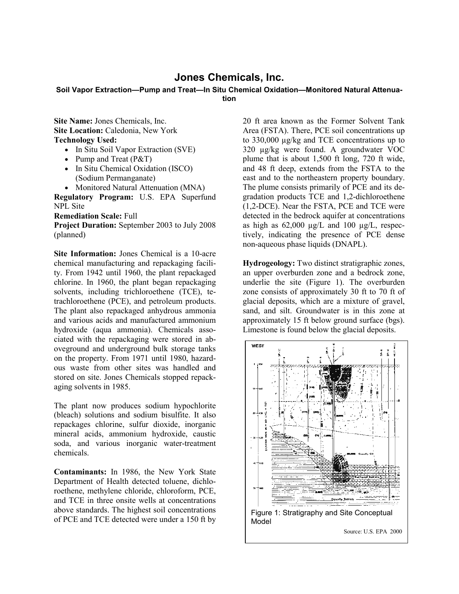## **Jones Chemicals, Inc.**

## **Soil Vapor Extraction—Pump and Treat—In Situ Chemical Oxidation—Monitored Natural Attenuation**

**Site Name:** Jones Chemicals, Inc. **Site Location:** Caledonia, New York **Technology Used:**

- In Situ Soil Vapor Extraction (SVE)
- Pump and Treat (P&T)
- In Situ Chemical Oxidation (ISCO) (Sodium Permanganate)
- Monitored Natural Attenuation (MNA)

**Regulatory Program:** U.S. EPA Superfund NPL Site

**Remediation Scale:** Full

**Project Duration:** September 2003 to July 2008 (planned)

**Site Information:** Jones Chemical is a 10-acre chemical manufacturing and repackaging facility. From 1942 until 1960, the plant repackaged chlorine. In 1960, the plant began repackaging solvents, including trichloroethene (TCE), tetrachloroethene (PCE), and petroleum products. The plant also repackaged anhydrous ammonia and various acids and manufactured ammonium hydroxide (aqua ammonia). Chemicals associated with the repackaging were stored in aboveground and underground bulk storage tanks on the property. From 1971 until 1980, hazardous waste from other sites was handled and stored on site. Jones Chemicals stopped repackaging solvents in 1985.

The plant now produces sodium hypochlorite (bleach) solutions and sodium bisulfite. It also repackages chlorine, sulfur dioxide, inorganic mineral acids, ammonium hydroxide, caustic soda, and various inorganic water-treatment chemicals.

**Contaminants:** In 1986, the New York State Department of Health detected toluene, dichloroethene, methylene chloride, chloroform, PCE, and TCE in three onsite wells at concentrations above standards. The highest soil concentrations of PCE and TCE detected were under a 150 ft by

20 ft area known as the Former Solvent Tank Area (FSTA). There, PCE soil concentrations up to 330,000 µg/kg and TCE concentrations up to 320 µg/kg were found. A groundwater VOC plume that is about 1,500 ft long, 720 ft wide, and 48 ft deep, extends from the FSTA to the east and to the northeastern property boundary. The plume consists primarily of PCE and its degradation products TCE and 1,2-dichloroethene (1,2-DCE). Near the FSTA, PCE and TCE were detected in the bedrock aquifer at concentrations as high as  $62,000 \mu g/L$  and  $100 \mu g/L$ , respectively, indicating the presence of PCE dense non-aqueous phase liquids (DNAPL).

**Hydrogeology:** Two distinct stratigraphic zones, an upper overburden zone and a bedrock zone, underlie the site (Figure 1). The overburden zone consists of approximately 30 ft to 70 ft of glacial deposits, which are a mixture of gravel, sand, and silt. Groundwater is in this zone at approximately 15 ft below ground surface (bgs). Limestone is found below the glacial deposits.

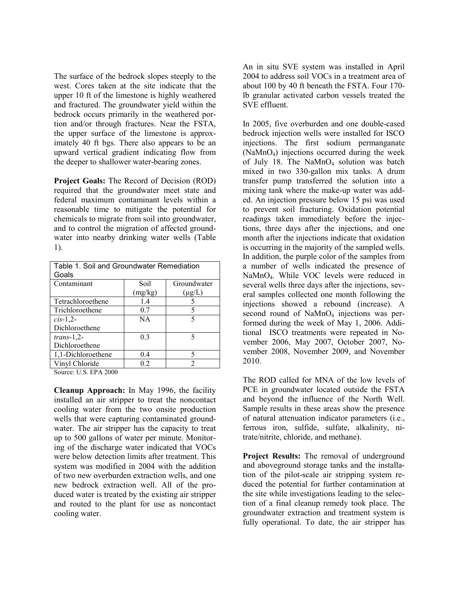The surface of the bedrock slopes steeply to the west. Cores taken at the site indicate that the upper 10 ft of the limestone is highly weathered and fractured. The groundwater yield within the bedrock occurs primarily in the weathered portion and/or through fractures. Near the FSTA, the upper surface of the limestone is approximately 40 ft bgs. There also appears to be an upward vertical gradient indicating flow from the deeper to shallower water-bearing zones.

**Project Goals:** The Record of Decision (ROD) required that the groundwater meet state and federal maximum contaminant levels within a reasonable time to mitigate the potential for chemicals to migrate from soil into groundwater, and to control the migration of affected groundwater into nearby drinking water wells (Table 1).

| Table 1. Soil and Groundwater Remediation<br>Goals |                |             |
|----------------------------------------------------|----------------|-------------|
| Contaminant                                        | Soil           | Groundwater |
|                                                    | (mg/kg)        | $(\mu g/L)$ |
| Tetrachloroethene                                  | 1.4            |             |
| Trichloroethene                                    | 0.7            |             |
| $cis-1,2$                                          | NA             |             |
| Dichloroethene                                     |                |             |
| $trans-1,2-$                                       | 0 <sup>3</sup> | 5           |
| Dichloroethene                                     |                |             |
| 1,1-Dichloroethene                                 | 0.4            | 5           |
| Vinyl Chloride                                     | 0.2            | っ           |

Source: U.S. EPA 2000

**Cleanup Approach:** In May 1996, the facility installed an air stripper to treat the noncontact cooling water from the two onsite production wells that were capturing contaminated groundwater. The air stripper has the capacity to treat up to 500 gallons of water per minute. Monitoring of the discharge water indicated that VOCs were below detection limits after treatment. This system was modified in 2004 with the addition of two new overburden extraction wells, and one new bedrock extraction well. All of the produced water is treated by the existing air stripper and routed to the plant for use as noncontact cooling water.

An in situ SVE system was installed in April 2004 to address soil VOCs in a treatment area of about 100 by 40 ft beneath the FSTA. Four 170 lb granular activated carbon vessels treated the SVE effluent.

In 2005, five overburden and one double-cased bedrock injection wells were installed for ISCO injections. The first sodium permanganate (NaMnO4) injections occurred during the week of July 18. The NaMnO<sub>4</sub> solution was batch mixed in two 330-gallon mix tanks. A drum transfer pump transferred the solution into a mixing tank where the make-up water was added. An injection pressure below 15 psi was used to prevent soil fracturing. Oxidation potential readings taken immediately before the injections, three days after the injections, and one month after the injections indicate that oxidation is occurring in the majority of the sampled wells. In addition, the purple color of the samples from a number of wells indicated the presence of NaMnO4. While VOC levels were reduced in several wells three days after the injections, several samples collected one month following the injections showed a rebound (increase). A second round of NaMnO<sub>4</sub> injections was performed during the week of May 1, 2006. Additional ISCO treatments were repeated in November 2006, May 2007, October 2007, November 2008, November 2009, and November 2010.

The ROD called for MNA of the low levels of PCE in groundwater located outside the FSTA and beyond the influence of the North Well. Sample results in these areas show the presence of natural attenuation indicator parameters (i.e., ferrous iron, sulfide, sulfate, alkalinity, nitrate/nitrite, chloride, and methane).

**Project Results:** The removal of underground and aboveground storage tanks and the installation of the pilot-scale air stripping system reduced the potential for further contamination at the site while investigations leading to the selection of a final cleanup remedy took place. The groundwater extraction and treatment system is fully operational. To date, the air stripper has